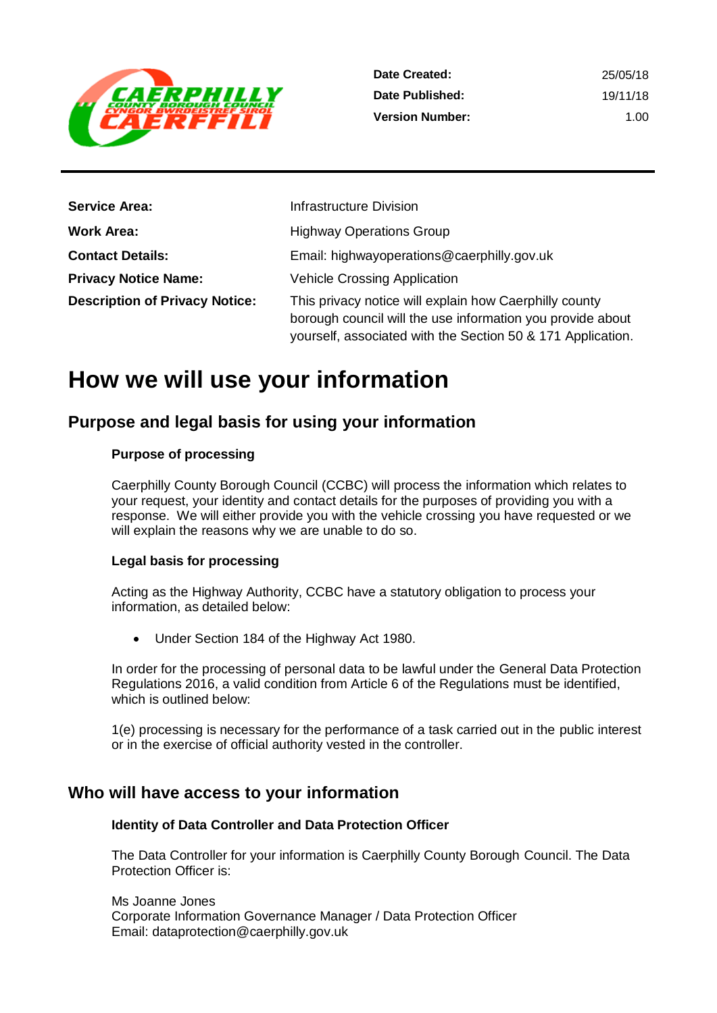

| <b>Service Area:</b>                  | Infrastructure Division                                                                                                                                                             |
|---------------------------------------|-------------------------------------------------------------------------------------------------------------------------------------------------------------------------------------|
| <b>Work Area:</b>                     | <b>Highway Operations Group</b>                                                                                                                                                     |
| <b>Contact Details:</b>               | Email: highwayoperations@caerphilly.gov.uk                                                                                                                                          |
| <b>Privacy Notice Name:</b>           | <b>Vehicle Crossing Application</b>                                                                                                                                                 |
| <b>Description of Privacy Notice:</b> | This privacy notice will explain how Caerphilly county<br>borough council will the use information you provide about<br>yourself, associated with the Section 50 & 171 Application. |

## **How we will use your information**

## **Purpose and legal basis for using your information**

#### **Purpose of processing**

Caerphilly County Borough Council (CCBC) will process the information which relates to your request, your identity and contact details for the purposes of providing you with a response. We will either provide you with the vehicle crossing you have requested or we will explain the reasons why we are unable to do so.

#### **Legal basis for processing**

Acting as the Highway Authority, CCBC have a statutory obligation to process your information, as detailed below:

Under Section 184 of the Highway Act 1980.

In order for the processing of personal data to be lawful under the General Data Protection Regulations 2016, a valid condition from Article 6 of the Regulations must be identified, which is outlined below:

1(e) processing is necessary for the performance of a task carried out in the public interest or in the exercise of official authority vested in the controller.

## **Who will have access to your information**

#### **Identity of Data Controller and Data Protection Officer**

The Data Controller for your information is Caerphilly County Borough Council. The Data Protection Officer is:

Ms Joanne Jones Corporate Information Governance Manager / Data Protection Officer Email: dataprotection@caerphilly.gov.uk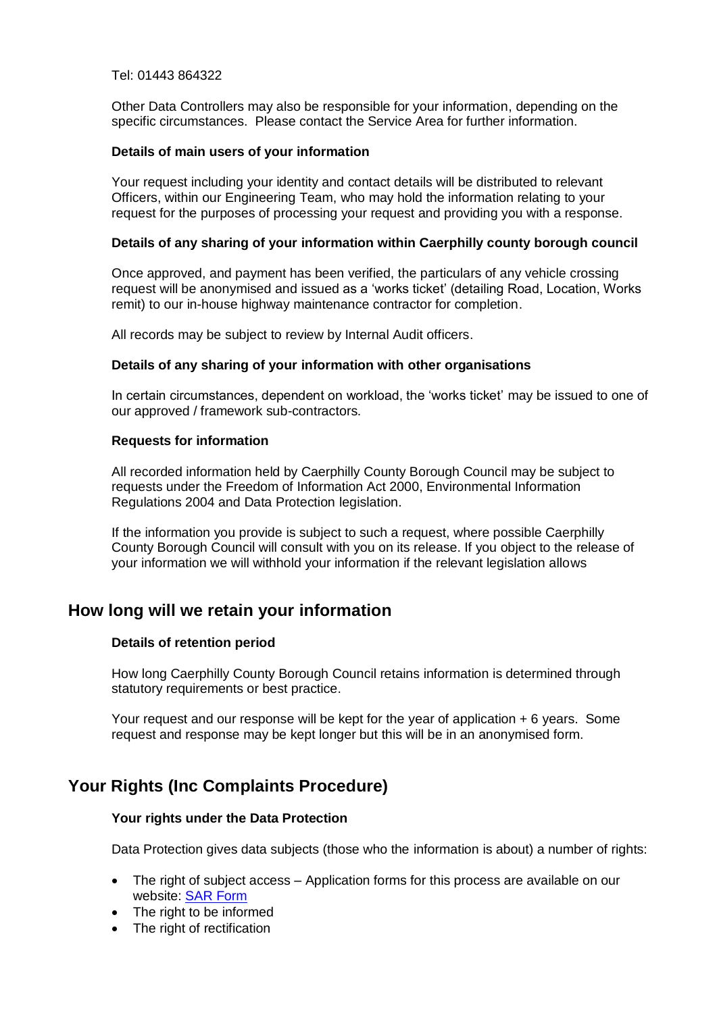#### Tel: 01443 864322

Other Data Controllers may also be responsible for your information, depending on the specific circumstances. Please contact the Service Area for further information.

#### **Details of main users of your information**

Your request including your identity and contact details will be distributed to relevant Officers, within our Engineering Team, who may hold the information relating to your request for the purposes of processing your request and providing you with a response.

#### **Details of any sharing of your information within Caerphilly county borough council**

Once approved, and payment has been verified, the particulars of any vehicle crossing request will be anonymised and issued as a 'works ticket' (detailing Road, Location, Works remit) to our in-house highway maintenance contractor for completion.

All records may be subject to review by Internal Audit officers.

#### **Details of any sharing of your information with other organisations**

In certain circumstances, dependent on workload, the 'works ticket' may be issued to one of our approved / framework sub-contractors.

#### **Requests for information**

All recorded information held by Caerphilly County Borough Council may be subject to requests under the Freedom of Information Act 2000, Environmental Information Regulations 2004 and Data Protection legislation.

If the information you provide is subject to such a request, where possible Caerphilly County Borough Council will consult with you on its release. If you object to the release of your information we will withhold your information if the relevant legislation allows

## **How long will we retain your information**

#### **Details of retention period**

How long Caerphilly County Borough Council retains information is determined through statutory requirements or best practice.

Your request and our response will be kept for the year of application + 6 years. Some request and response may be kept longer but this will be in an anonymised form.

## **Your Rights (Inc Complaints Procedure)**

#### **Your rights under the Data Protection**

Data Protection gives data subjects (those who the information is about) a number of rights:

- The right of subject access Application forms for this process are available on our website: [SAR Form](http://www.caerphilly.gov.uk/CaerphillyDocs/Council-and-democracy/sar_form.aspx)
- The right to be informed
- The right of rectification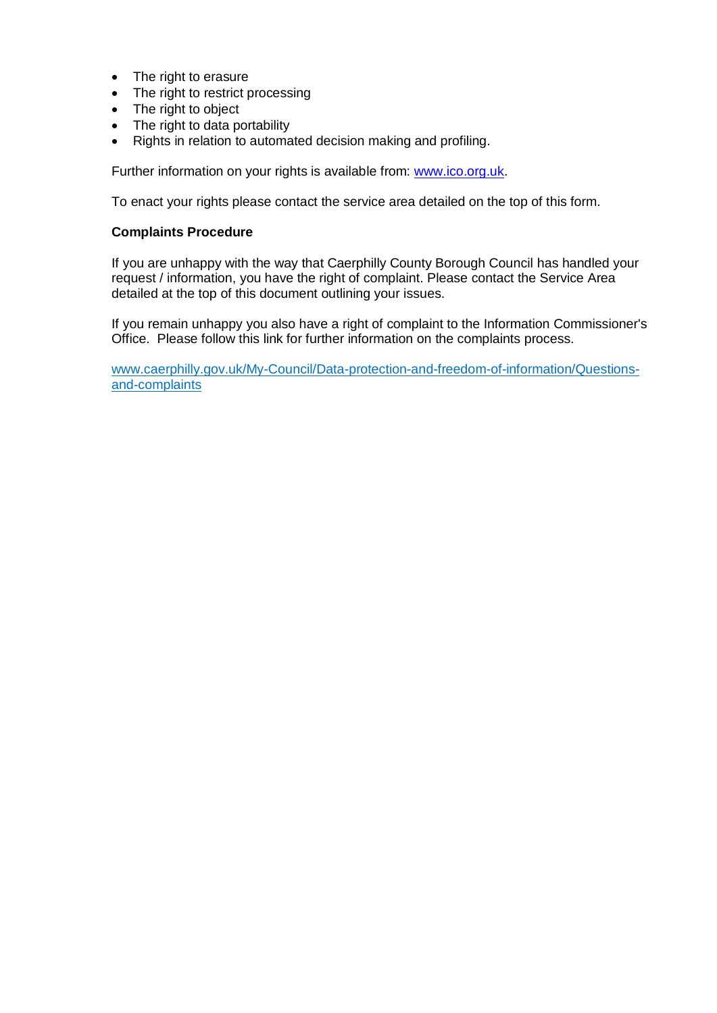- The right to erasure
- The right to restrict processing
- The right to object
- The right to data portability
- Rights in relation to automated decision making and profiling.

Further information on your rights is available from: [www.ico.org.uk.](http://www.ico.org.uk/)

To enact your rights please contact the service area detailed on the top of this form.

#### **Complaints Procedure**

If you are unhappy with the way that Caerphilly County Borough Council has handled your request / information, you have the right of complaint. Please contact the Service Area detailed at the top of this document outlining your issues.

If you remain unhappy you also have a right of complaint to the Information Commissioner's Office. Please follow this link for further information on the complaints process.

[www.caerphilly.gov.uk/My-Council/Data-protection-and-freedom-of-information/Questions](http://www.caerphilly.gov.uk/My-Council/Data-protection-and-freedom-of-information/Questions-and-complaints)[and-complaints](http://www.caerphilly.gov.uk/My-Council/Data-protection-and-freedom-of-information/Questions-and-complaints)